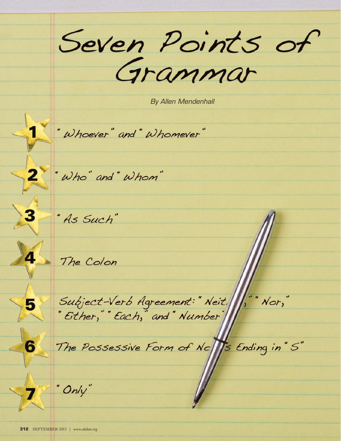Seven Points of

By Allen Mendenhall

"Whoever" and "Whomever"

2 "Who" and "Whom"

3 As Such"

4 The Colon

5 Subject-Verb Agreement:" Neit. (;" Nor,"<br>"Either," Each," and " Number

The Possessive Form of No 15 Ending in"S"

7 "Only"

 $6$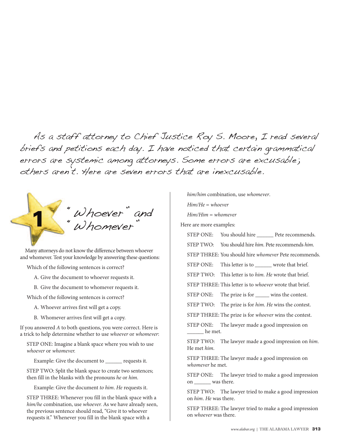As a staff attorney to Chief Justice Roy S. Moore, I read several briefs and petitions each day. I have noticed that certain grammatical errors are systemic among attorneys. Some errors are excusable; others aren't. Here are seven errors that are inexcusable.

"Whoever" and "Whomever"

Many attorneys do not know the difference between whoever and whomever. Test your knowledge by answering these questions:

Which of the following sentences is correct?

A. Give the document to whoever requests it.

B. Give the document to whomever requests it.

Which of the following sentences is correct?

A. Whoever arrives first will get a copy.

B. Whomever arrives first will get a copy.

If you answered A to both questions, you were correct. Here is a trick to help determine whether to use whoever or whomever:

STEP ONE: Imagine a blank space where you wish to use whoever or whomever.

Example: Give the document to \_\_\_\_\_\_ requests it.

STEP TWO: Split the blank space to create two sentences; then fill in the blanks with the pronouns he or him.

Example: Give the document to him. He requests it.

STEP THREE: Whenever you fill in the blank space with a him/he combination, use whoever. As we have already seen, the previous sentence should read, "Give it to whoever requests it." Whenever you fill in the blank space with a

him/him combination, use whomever. Him/He = whoever Him/Him = whomever

Here are more examples:

STEP ONE: You should hire \_\_\_\_\_\_\_ Pete recommends. STEP TWO: You should hire him. Pete recommends him. STEP THREE: You should hire whomever Pete recommends. STEP ONE: This letter is to wrote that brief. STEP TWO: This letter is to him. He wrote that brief. STEP THREE: This letter is to whoever wrote that brief. STEP ONE: The prize is for \_\_\_\_\_ wins the contest. STEP TWO: The prize is for him. He wins the contest. STEP THREE: The prize is for whoever wins the contest. STEP ONE: The lawyer made a good impression on he met.

STEP TWO: The lawyer made a good impression on him. He met him.

STEP THREE: The lawyer made a good impression on whomever he met.

STEP ONE: The lawyer tried to make a good impression on \_\_\_\_\_\_ was there.

STEP TWO: The lawyer tried to make a good impression on him. He was there.

STEP THREE: The lawyer tried to make a good impression on whoever was there.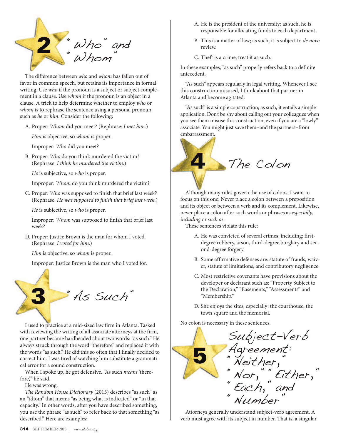

The difference between who and whom has fallen out of favor in common speech, but retains its importance in formal writing. Use who if the pronoun is a subject or subject complement in a clause. Use whom if the pronoun is an object in a clause. A trick to help determine whether to employ who or whom is to rephrase the sentence using a personal pronoun such as he or him. Consider the following:

A. Proper: Whom did you meet? (Rephrase: I met him.)

Him is objective, so whom is proper.

Improper: Who did you meet?

B. Proper: Who do you think murdered the victim? (Rephrase: I think he murdered the victim.)

He is subjective, so who is proper.

Improper: Whom do you think murdered the victim?

C. Proper: Who was supposed to finish that brief last week? (Rephrase: He was supposed to finish that brief last week.)

He is subjective, so who is proper.

Improper: Whom was supposed to finish that brief last week?

D. Proper: Justice Brown is the man for whom I voted. (Rephrase: I voted for him.)

Him is objective, so whom is proper.

Improper: Justice Brown is the man who I voted for.



I used to practice at a mid-sized law firm in Atlanta. Tasked with reviewing the writing of all associate attorneys at the firm, one partner became hardheaded about two words: "as such." He always struck through the word "therefore" and replaced it with the words "as such." He did this so often that I finally decided to correct him. I was tired of watching him substitute a grammatical error for a sound construction.

When I spoke up, he got defensive. "As such *means* 'therefore," he said.

He was wrong.

The Random House Dictionary (2013) describes "as such" as an "idiom" that means "as being what is indicated" or "in that capacity." In other words, after you have described something, you use the phrase "as such" to refer back to that something "as described." Here are examples:

- A. He is the president of the university; as such, he is responsible for allocating funds to each department.
- B. This is a matter of law; as such, it is subject to de novo review.
- C. Theft is a crime; treat it as such.

In these examples, "as such" properly refers back to a definite antecedent.

"As such" appears regularly in legal writing. Whenever I see this construction misused, I think about that partner in Atlanta and become agitated.

"As such" is a simple construction; as such, it entails a simple application. Don't be shy about calling out your colleagues when you see them misuse this construction, even if you are a "lowly" associate. You might just save them−and the partners−from embarrassment.



Although many rules govern the use of colons, I want to focus on this one: Never place a colon between a preposition and its object or between a verb and its complement. Likewise, never place a colon after such words or phrases as especially, including or such as.

These sentences violate this rule:

- A. He was convicted of several crimes, including: firstdegree robbery, arson, third-degree burglary and second-degree forgery.
- B. Some affirmative defenses are: statute of frauds, waiver, statute of limitations, and contributory negligence.
- C. Most restrictive covenants have provisions about the developer or declarant such as: "Property Subject to the Declaration," "Easements," "Assessments" and "Membership."
- D. She enjoys the sites, especially: the courthouse, the town square and the memorial.

No colon is necessary in these sentences.



Attorneys generally understand subject-verb agreement. A verb must agree with its subject in number. That is, a singular